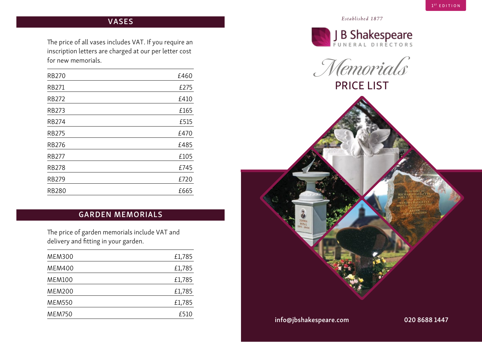# *Established 1877* VASES

The price of all vases includes VAT. If you require an inscription letters are charged at our per letter cost for new memorials.

| <b>RB270</b> | £460 |
|--------------|------|
| <b>RB271</b> | £275 |
| <b>RB272</b> | £410 |
| <b>RB273</b> | £165 |
| <b>RB274</b> | £515 |
| <b>RB275</b> | £470 |
| <b>RB276</b> | £485 |
| <b>RB277</b> | £105 |
| <b>RB278</b> | £745 |
| <b>RB279</b> | £720 |
| <b>RB280</b> | £665 |

### GARDEN MEMORIALS

The price of garden memorials include VAT and delivery and fitting in your garden.

| <b>MEM300</b> | £1,785 |
|---------------|--------|
| <b>MEM400</b> | £1,785 |
| <b>MEM100</b> | £1,785 |
| <b>MEM200</b> | £1,785 |
| <b>MEM550</b> | £1,785 |
| <b>MEM750</b> | £510   |









info@jbshakespeare.com 020 8688 1447